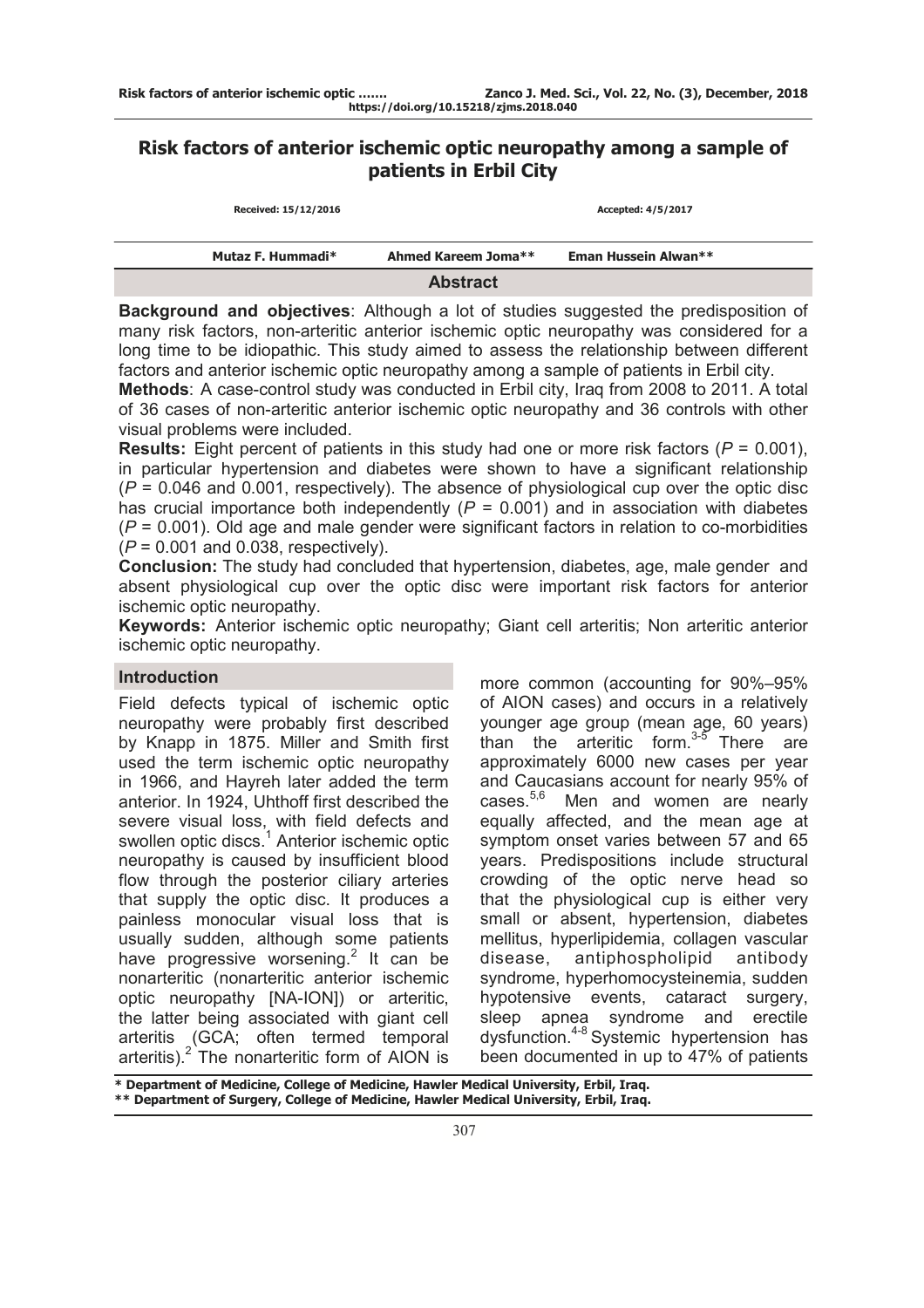# **Risk factors of anterior ischemic optic neuropathy among a sample of patients in Erbil City**

| Received: 15/12/2016 |                   |                     | Accepted: 4/5/2017   |  |
|----------------------|-------------------|---------------------|----------------------|--|
|                      | Mutaz F. Hummadi* | Ahmed Kareem Joma** | Eman Hussein Alwan** |  |
|                      |                   | <b>Abstract</b>     |                      |  |

**Background and objectives**: Although a lot of studies suggested the predisposition of many risk factors, non-arteritic anterior ischemic optic neuropathy was considered for a long time to be idiopathic. This study aimed to assess the relationship between different factors and anterior ischemic optic neuropathy among a sample of patients in Erbil city.

**Methods**: A case-control study was conducted in Erbil city, Iraq from 2008 to 2011. A total of 36 cases of non-arteritic anterior ischemic optic neuropathy and 36 controls with other visual problems were included.

**Results:** Eight percent of patients in this study had one or more risk factors (*P* = 0.001), in particular hypertension and diabetes were shown to have a significant relationship (*P* = 0.046 and 0.001, respectively). The absence of physiological cup over the optic disc has crucial importance both independently  $(P = 0.001)$  and in association with diabetes (*P* = 0.001). Old age and male gender were significant factors in relation to co-morbidities (*P* = 0.001 and 0.038, respectively).

**Conclusion:** The study had concluded that hypertension, diabetes, age, male gender and absent physiological cup over the optic disc were important risk factors for anterior ischemic optic neuropathy.

**Keywords:** Anterior ischemic optic neuropathy; Giant cell arteritis; Non arteritic anterior ischemic optic neuropathy.

# **Introduction**

Field defects typical of ischemic optic neuropathy were probably first described by Knapp in 1875. Miller and Smith first used the term ischemic optic neuropathy in 1966, and Hayreh later added the term anterior. In 1924, Uhthoff first described the severe visual loss, with field defects and swollen optic discs.<sup>1</sup> Anterior ischemic optic neuropathy is caused by insufficient blood flow through the posterior ciliary arteries that supply the optic disc. It produces a painless monocular visual loss that is usually sudden, although some patients have progressive worsening.<sup>2</sup> It can be nonarteritic (nonarteritic anterior ischemic optic neuropathy [NA-ION]) or arteritic, the latter being associated with giant cell arteritis (GCA; often termed temporal arteritis). $2$  The nonarteritic form of AION is

more common (accounting for 90%–95% of AION cases) and occurs in a relatively younger age group (mean age, 60 years) than the arteritic form.<sup>3-5</sup> There are approximately 6000 new cases per year and Caucasians account for nearly 95% of cases.<sup>5,6</sup> Men and women are nearly equally affected, and the mean age at symptom onset varies between 57 and 65 years. Predispositions include structural crowding of the optic nerve head so that the physiological cup is either very small or absent, hypertension, diabetes mellitus, hyperlipidemia, collagen vascular disease, antiphospholipid antibody syndrome, hyperhomocysteinemia, sudden hypotensive events, cataract surgery, sleep apnea syndrome and erectile dysfunction.4-8 Systemic hypertension has been documented in up to 47% of patients

**\* Department of Medicine, College of Medicine, Hawler Medical University, Erbil, Iraq. \*\* Department of Surgery, College of Medicine, Hawler Medical University, Erbil, Iraq.**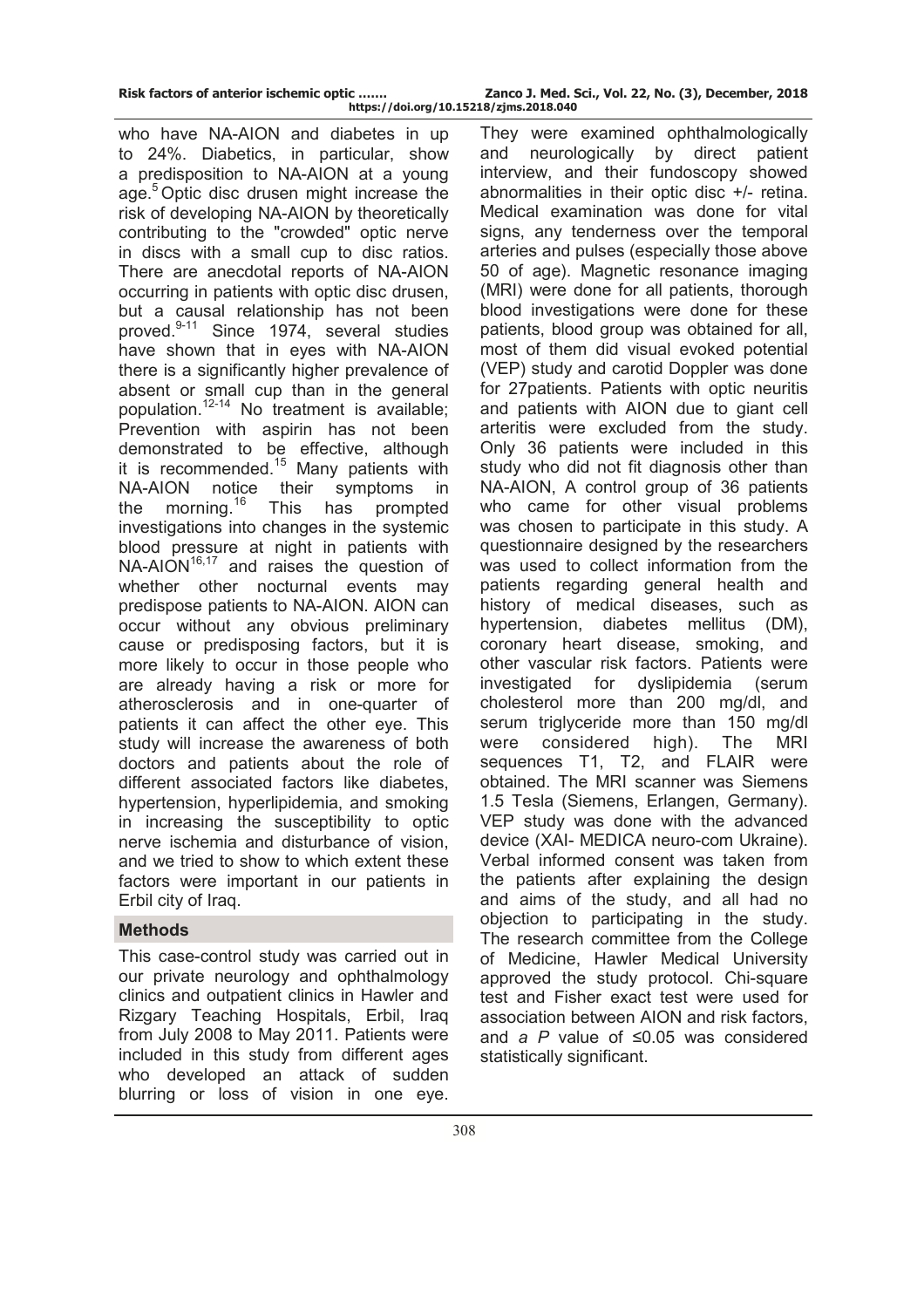| Risk factors of anterior ischemic optic | Zanco J. Med. Sci., Vol. 22, No. (3), December, 2018 |
|-----------------------------------------|------------------------------------------------------|
| https://doi.org/10.15218/zjms.2018.040  |                                                      |

who have NA-AION and diabetes in up to 24%. Diabetics, in particular, show a predisposition to NA-AION at a young age.<sup>5</sup> Optic disc drusen might increase the risk of developing NA-AION by theoretically contributing to the "crowded" optic nerve in discs with a small cup to disc ratios. There are anecdotal reports of NA-AION occurring in patients with optic disc drusen, but a causal relationship has not been proved.<sup>9-11</sup> Since 1974, several studies have shown that in eyes with NA-AION there is a significantly higher prevalence of absent or small cup than in the general population.12-14 No treatment is available; Prevention with aspirin has not been demonstrated to be effective, although it is recommended.<sup>15</sup> Many patients with NA-AION notice their symptoms in the morning.<sup>16</sup> This has prompted investigations into changes in the systemic blood pressure at night in patients with  $NA-AION^{16,17}$  and raises the question of whether other nocturnal events may predispose patients to NA-AION. AION can occur without any obvious preliminary cause or predisposing factors, but it is more likely to occur in those people who are already having a risk or more for atherosclerosis and in one-quarter of patients it can affect the other eye. This study will increase the awareness of both doctors and patients about the role of different associated factors like diabetes, hypertension, hyperlipidemia, and smoking in increasing the susceptibility to optic nerve ischemia and disturbance of vision, and we tried to show to which extent these factors were important in our patients in Erbil city of Iraq.

# **Methods**

This case-control study was carried out in our private neurology and ophthalmology clinics and outpatient clinics in Hawler and Rizgary Teaching Hospitals, Erbil, Iraq from July 2008 to May 2011. Patients were included in this study from different ages who developed an attack of sudden blurring or loss of vision in one eye.

They were examined ophthalmologically and neurologically by direct patient interview, and their fundoscopy showed abnormalities in their optic disc +/- retina. Medical examination was done for vital signs, any tenderness over the temporal arteries and pulses (especially those above 50 of age). Magnetic resonance imaging (MRI) were done for all patients, thorough blood investigations were done for these patients, blood group was obtained for all, most of them did visual evoked potential (VEP) study and carotid Doppler was done for 27patients. Patients with optic neuritis and patients with AION due to giant cell arteritis were excluded from the study. Only 36 patients were included in this study who did not fit diagnosis other than NA-AION, A control group of 36 patients who came for other visual problems was chosen to participate in this study. A questionnaire designed by the researchers was used to collect information from the patients regarding general health and history of medical diseases, such as hypertension, diabetes mellitus (DM), coronary heart disease, smoking, and other vascular risk factors. Patients were investigated for dyslipidemia (serum cholesterol more than 200 mg/dl, and serum triglyceride more than 150 mg/dl were considered high). The MRI sequences T1, T2, and FLAIR were obtained. The MRI scanner was Siemens 1.5 Tesla (Siemens, Erlangen, Germany). VEP study was done with the advanced device (XAI- MEDICA neuro-com Ukraine). Verbal informed consent was taken from the patients after explaining the design and aims of the study, and all had no objection to participating in the study. The research committee from the College of Medicine, Hawler Medical University approved the study protocol. Chi-square test and Fisher exact test were used for association between AION and risk factors, and *a P* value of ≤0.05 was considered statistically significant.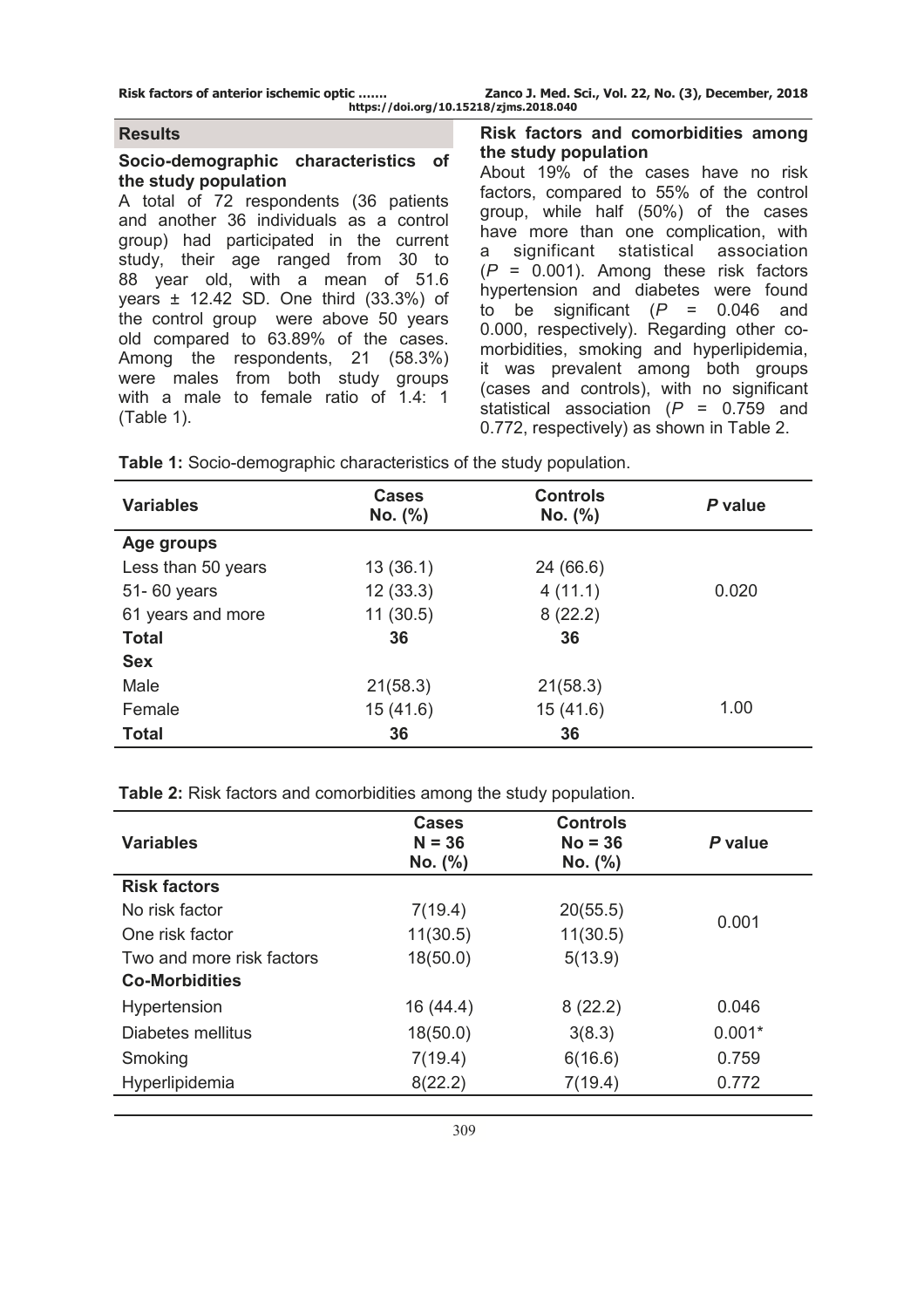**Risk factors of anterior ischemic optic ……. Zanco J. Med. Sci., Vol. 22, No. (3), December, 2018 https://doi.org/10.15218/zjms.2018.040**

### **Results**

#### **Socio-demographic characteristics of the study population**

A total of 72 respondents (36 patients and another 36 individuals as a control group) had participated in the current study, their age ranged from 30 to 88 year old, with a mean of 51.6 years ± 12.42 SD. One third (33.3%) of the control group were above 50 years old compared to 63.89% of the cases. Among the respondents, 21 (58.3%) were males from both study groups with a male to female ratio of 1.4: 1 (Table 1).

### **Risk factors and comorbidities among the study population**

About 19% of the cases have no risk factors, compared to 55% of the control group, while half (50%) of the cases have more than one complication, with a significant statistical association (*P* = 0.001). Among these risk factors hypertension and diabetes were found to be significant (*P* = 0.046 and 0.000, respectively). Regarding other comorbidities, smoking and hyperlipidemia, it was prevalent among both groups (cases and controls), with no significant statistical association (*P* = 0.759 and 0.772, respectively) as shown in Table 2.

| <b>Variables</b>   | <b>Cases</b><br>No. (%) | <b>Controls</b><br>No. (%) | P value |
|--------------------|-------------------------|----------------------------|---------|
| Age groups         |                         |                            |         |
| Less than 50 years | 13(36.1)                | 24 (66.6)                  |         |
| 51-60 years        | 12(33.3)                | 4(11.1)                    | 0.020   |
| 61 years and more  | 11(30.5)                | 8(22.2)                    |         |
| <b>Total</b>       | 36                      | 36                         |         |
| <b>Sex</b>         |                         |                            |         |
| Male               | 21(58.3)                | 21(58.3)                   |         |
| Female             | 15(41.6)                | 15(41.6)                   | 1.00    |
| <b>Total</b>       | 36                      | 36                         |         |

**Table 1:** Socio-demographic characteristics of the study population.

**Table 2:** Risk factors and comorbidities among the study population.

| <b>Variables</b>          | <b>Cases</b><br>$N = 36$<br>No. (%) | <b>Controls</b><br>$No = 36$<br>No. (%) | P value  |  |
|---------------------------|-------------------------------------|-----------------------------------------|----------|--|
| <b>Risk factors</b>       |                                     |                                         |          |  |
| No risk factor            | 7(19.4)                             | 20(55.5)                                | 0.001    |  |
| One risk factor           | 11(30.5)                            | 11(30.5)                                |          |  |
| Two and more risk factors | 18(50.0)                            | 5(13.9)                                 |          |  |
| <b>Co-Morbidities</b>     |                                     |                                         |          |  |
| Hypertension              | 16 (44.4)                           | 8(22.2)                                 | 0.046    |  |
| Diabetes mellitus         | 18(50.0)                            | 3(8.3)                                  | $0.001*$ |  |
| Smoking                   | 7(19.4)                             | 6(16.6)                                 | 0.759    |  |
| Hyperlipidemia            | 8(22.2)                             | 7(19.4)                                 | 0.772    |  |
|                           |                                     |                                         |          |  |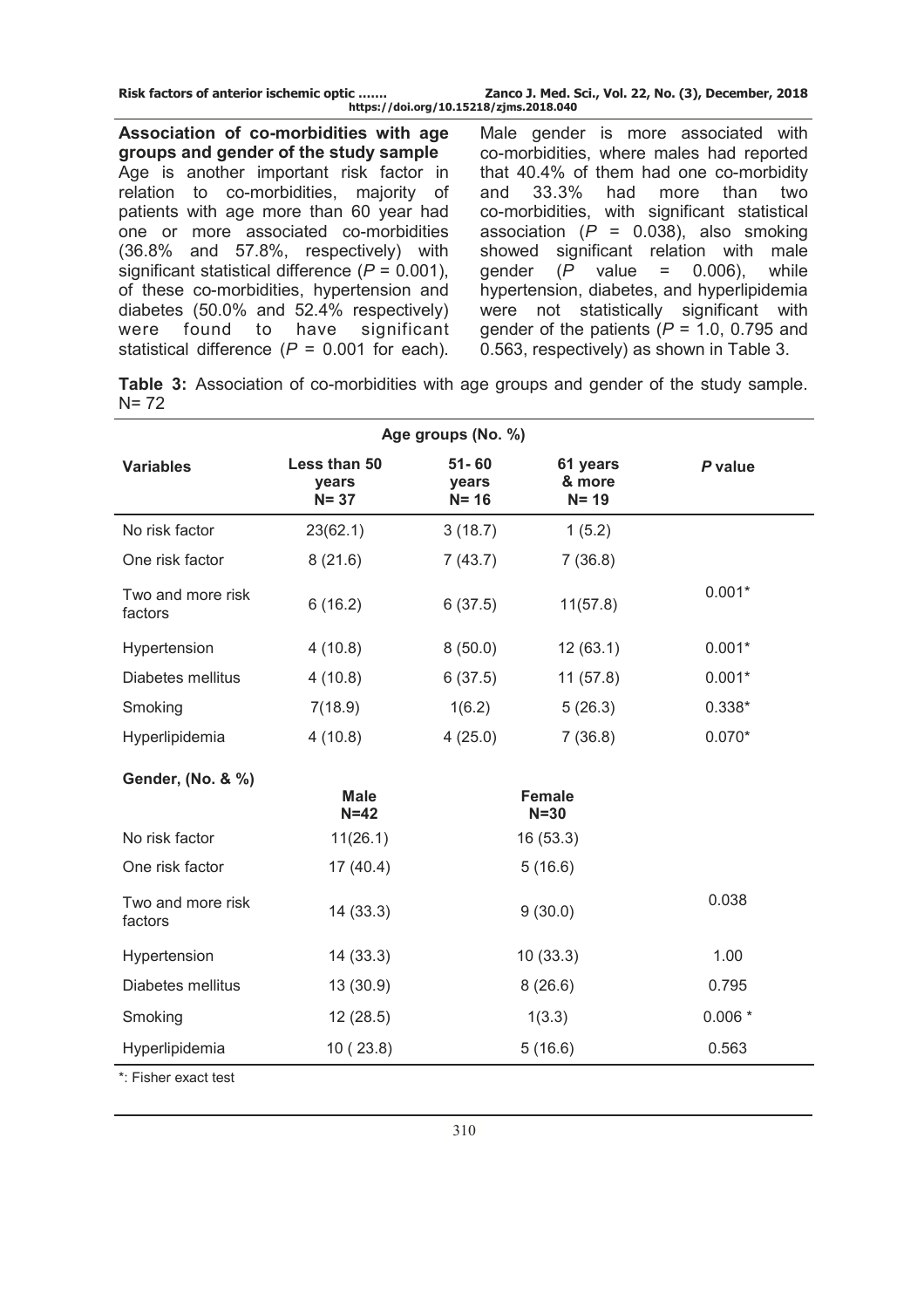| Risk factors of anterior ischemic optic | Zanco J. Med. Sci., Vol. 22, No. (3), December, 2018 |
|-----------------------------------------|------------------------------------------------------|
|                                         | https://doi.org/10.15218/zjms.2018.040               |

**Association of co-morbidities with age groups and gender of the study sample** Age is another important risk factor in relation to co-morbidities, majority of patients with age more than 60 year had one or more associated co-morbidities (36.8% and 57.8%, respectively) with significant statistical difference (*P* = 0.001), of these co-morbidities, hypertension and diabetes (50.0% and 52.4% respectively) were found to have significant statistical difference (*P* = 0.001 for each).

Male gender is more associated with co-morbidities, where males had reported that 40.4% of them had one co-morbidity and 33.3% had more than two co-morbidities, with significant statistical association (*P* = 0.038), also smoking showed significant relation with male gender (*P* value = 0.006), while hypertension, diabetes, and hyperlipidemia were not statistically significant with gender of the patients (*P* = 1.0, 0.795 and 0.563, respectively) as shown in Table 3.

**Table 3:** Association of co-morbidities with age groups and gender of the study sample.  $N = 72$ 

| Age groups (No. %)           |                                   |                                |                                |          |  |
|------------------------------|-----------------------------------|--------------------------------|--------------------------------|----------|--|
| <b>Variables</b>             | Less than 50<br>years<br>$N = 37$ | $51 - 60$<br>years<br>$N = 16$ | 61 years<br>& more<br>$N = 19$ | P value  |  |
| No risk factor               | 23(62.1)                          | 3(18.7)                        | 1(5.2)                         |          |  |
| One risk factor              | 8(21.6)                           | 7(43.7)                        | 7(36.8)                        |          |  |
| Two and more risk<br>factors | 6(16.2)                           | 6(37.5)                        | 11(57.8)                       | $0.001*$ |  |
| Hypertension                 | 4(10.8)                           | 8(50.0)                        | 12(63.1)                       | $0.001*$ |  |
| Diabetes mellitus            | 4(10.8)                           | 6(37.5)                        | 11(57.8)                       | $0.001*$ |  |
| Smoking                      | 7(18.9)                           | 1(6.2)                         | 5(26.3)                        | $0.338*$ |  |
| Hyperlipidemia               | 4(10.8)                           | 4(25.0)                        | 7(36.8)                        | $0.070*$ |  |
| Gender, (No. & %)            |                                   |                                |                                |          |  |
|                              | <b>Male</b><br>$N=42$             |                                | <b>Female</b><br>$N = 30$      |          |  |
| No risk factor               | 11(26.1)                          |                                | 16(53.3)                       |          |  |
| One risk factor              | 17 (40.4)                         |                                | 5(16.6)                        |          |  |
| Two and more risk<br>factors | 14(33.3)                          |                                | 9(30.0)                        | 0.038    |  |
| Hypertension                 | 14(33.3)                          | 10(33.3)                       |                                | 1.00     |  |
| Diabetes mellitus            | 13 (30.9)                         | 8(26.6)                        |                                | 0.795    |  |
| Smoking                      | 12(28.5)                          |                                | 1(3.3)                         | $0.006*$ |  |
| Hyperlipidemia               | 5(16.6)<br>10(23.8)<br>0.563      |                                |                                |          |  |
| *: Fisher exact test         |                                   |                                |                                |          |  |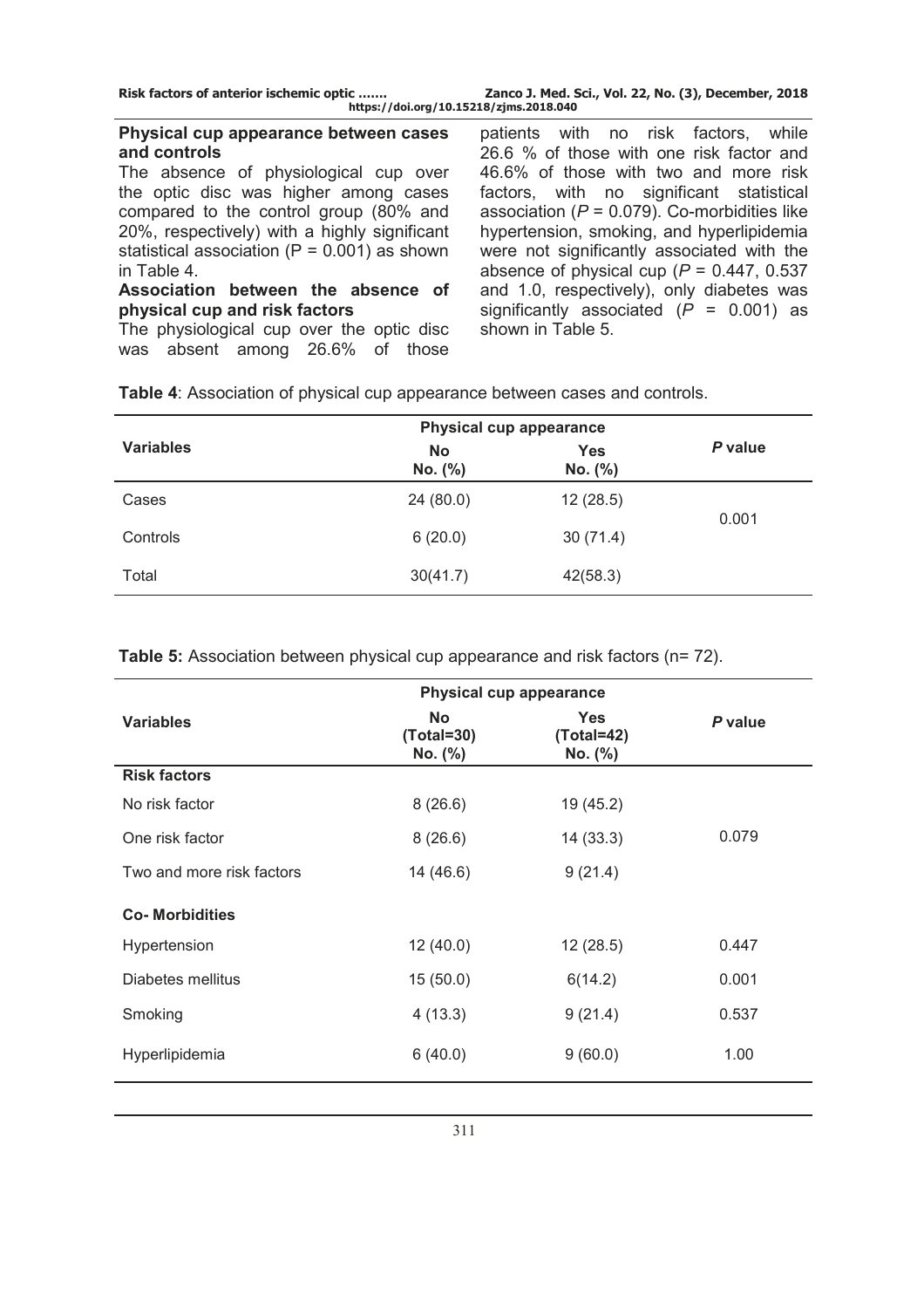| Risk factors of anterior ischemic optic | Zanco J. Med. Sci., Vol. 22, No. (3), December, 2018 |
|-----------------------------------------|------------------------------------------------------|
| https://doi.org/10.15218/zjms.2018.040  |                                                      |

### **Physical cup appearance between cases and controls**

The absence of physiological cup over the optic disc was higher among cases compared to the control group (80% and 20%, respectively) with a highly significant statistical association ( $P = 0.001$ ) as shown in Table 4.

### **Association between the absence of physical cup and risk factors**

The physiological cup over the optic disc was absent among 26.6% of those

patients with no risk factors, while 26.6 % of those with one risk factor and 46.6% of those with two and more risk factors, with no significant statistical association  $(P = 0.079)$ . Co-morbidities like hypertension, smoking, and hyperlipidemia were not significantly associated with the absence of physical cup  $(P = 0.447, 0.537)$ and 1.0, respectively), only diabetes was significantly associated (*P* = 0.001) as shown in Table 5.

|                  | <b>Physical cup appearance</b> |                       |         |
|------------------|--------------------------------|-----------------------|---------|
| <b>Variables</b> | <b>No</b><br>No. (%)           | <b>Yes</b><br>No. (%) | P value |
| Cases            | 24(80.0)                       | 12(28.5)              | 0.001   |
| Controls         | 6(20.0)                        | 30(71.4)              |         |
| Total            | 30(41.7)                       | 42(58.3)              |         |

**Table 4**: Association of physical cup appearance between cases and controls.

| <b>Physical cup appearance</b> |                                        |                                       |         |
|--------------------------------|----------------------------------------|---------------------------------------|---------|
| <b>Variables</b>               | <b>No</b><br>$(Total = 30)$<br>No. (%) | <b>Yes</b><br>$(Total=42)$<br>No. (%) | P value |
| <b>Risk factors</b>            |                                        |                                       |         |
| No risk factor                 | 8(26.6)                                | 19 (45.2)                             |         |
| One risk factor                | 8(26.6)                                | 14(33.3)                              | 0.079   |
| Two and more risk factors      | 14 (46.6)                              | 9(21.4)                               |         |
| <b>Co-Morbidities</b>          |                                        |                                       |         |
| Hypertension                   | 12(40.0)                               | 12(28.5)                              | 0.447   |
| Diabetes mellitus              | 15(50.0)                               | 6(14.2)                               | 0.001   |
| Smoking                        | 4(13.3)                                | 9(21.4)                               | 0.537   |
| Hyperlipidemia                 | 6(40.0)                                | 9(60.0)                               | 1.00    |

**Table 5:** Association between physical cup appearance and risk factors (n= 72).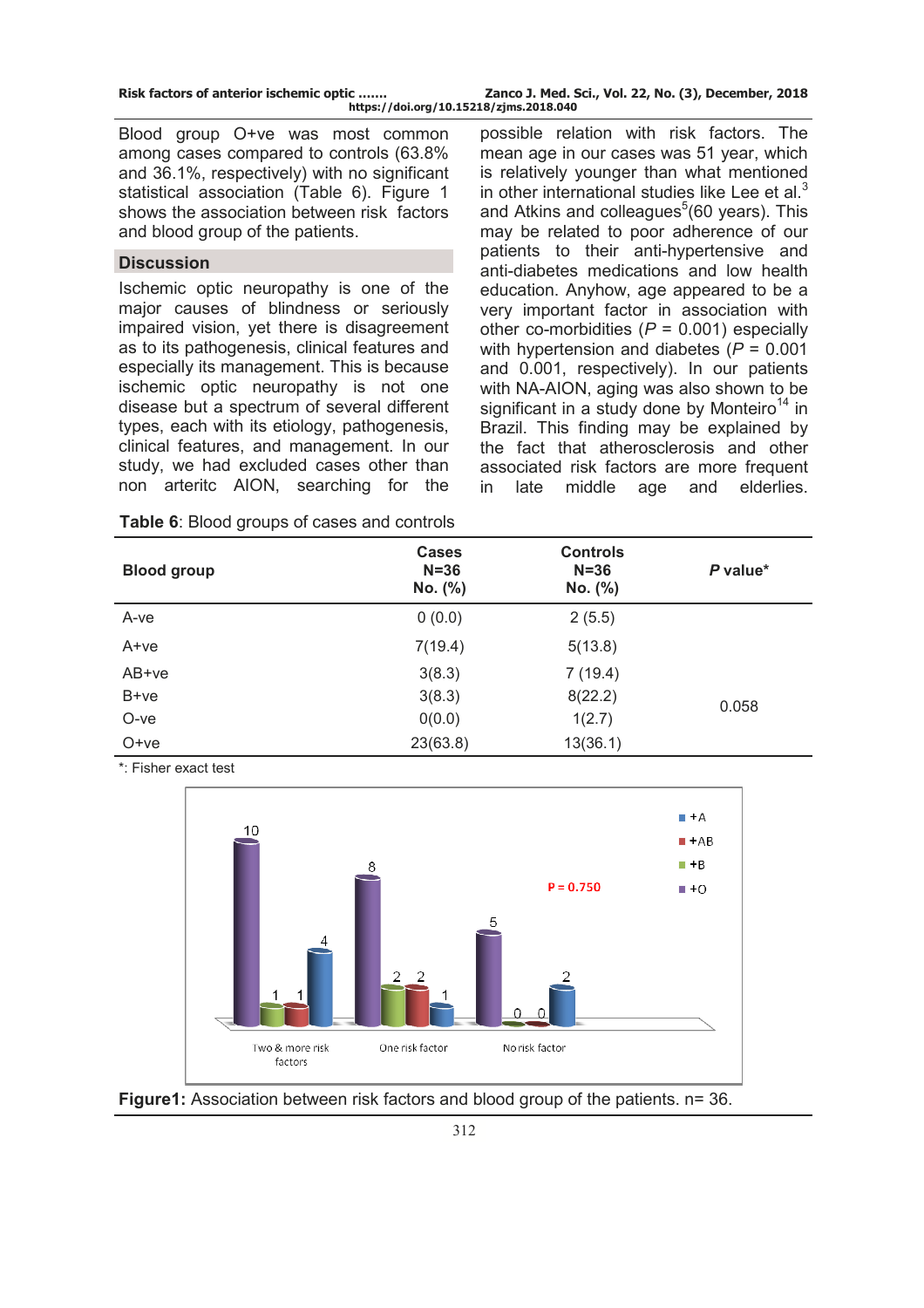| Risk factors of anterior ischemic optic | Zanco J. Med. Sci., Vol. 22, No. (3), December, 2018 |
|-----------------------------------------|------------------------------------------------------|
|                                         | https://doi.org/10.15218/zjms.2018.040               |

Blood group O+ve was most common among cases compared to controls (63.8% and 36.1%, respectively) with no significant statistical association (Table 6). Figure 1 shows the association between risk factors and blood group of the patients.

# **Discussion**

Ischemic optic neuropathy is one of the major causes of blindness or seriously impaired vision, yet there is disagreement as to its pathogenesis, clinical features and especially its management. This is because ischemic optic neuropathy is not one disease but a spectrum of several different types, each with its etiology, pathogenesis, clinical features, and management. In our study, we had excluded cases other than non arteritc AION, searching for the

possible relation with risk factors. The mean age in our cases was 51 year, which is relatively younger than what mentioned in other international studies like Lee et al. $3$ and Atkins and colleagues<sup>5</sup>(60 years). This may be related to poor adherence of our patients to their anti-hypertensive and anti-diabetes medications and low health education. Anyhow, age appeared to be a very important factor in association with other co-morbidities (*P* = 0.001) especially with hypertension and diabetes (*P* = 0.001 and 0.001, respectively). In our patients with NA-AION, aging was also shown to be significant in a study done by Monteiro<sup>14</sup> in Brazil. This finding may be explained by the fact that atherosclerosis and other associated risk factors are more frequent in late middle age and elderlies.

| <b>Blood group</b> | <b>Cases</b><br>$N = 36$<br>No. (%) | <b>Controls</b><br>$N = 36$<br>No. (%) | P value* |
|--------------------|-------------------------------------|----------------------------------------|----------|
| A-ve               | 0(0.0)                              | 2(5.5)                                 |          |
| A+ve               | 7(19.4)                             | 5(13.8)                                |          |
| AB+ve              | 3(8.3)                              | 7(19.4)                                |          |
| B+ye               | 3(8.3)                              | 8(22.2)                                | 0.058    |
| O-ve               | 0(0.0)                              | 1(2.7)                                 |          |
| $O+ve$             | 23(63.8)                            | 13(36.1)                               |          |

**Table 6**: Blood groups of cases and controls

\*: Fisher exact test



**Figure1:** Association between risk factors and blood group of the patients. n= 36.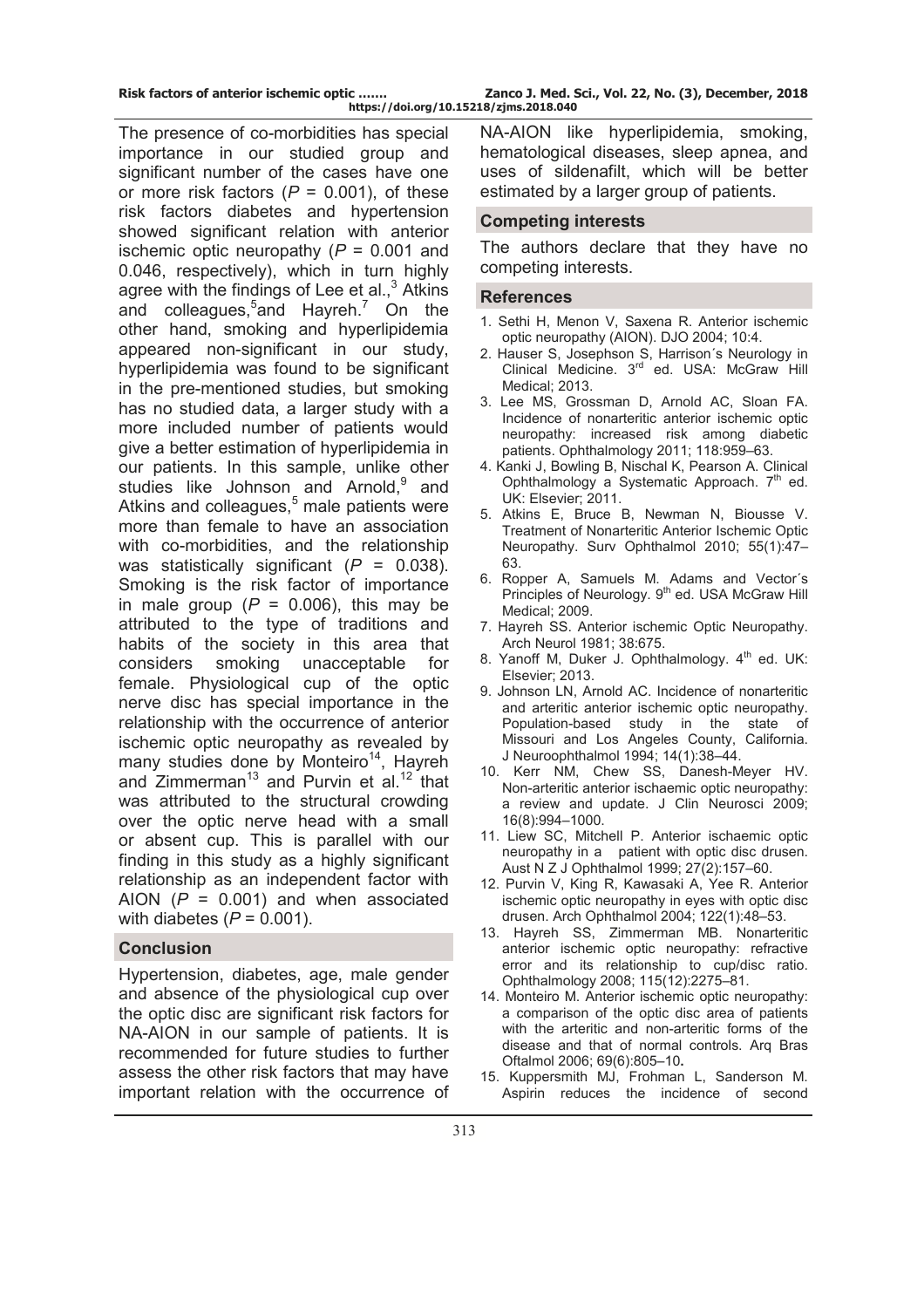| Risk factors of anterior ischemic optic | Zanco J. Med. Sci., Vol. 22, No. (3), December, 2018 |
|-----------------------------------------|------------------------------------------------------|
| https://doi.org/10.15218/zjms.2018.040  |                                                      |

The presence of co-morbidities has special importance in our studied group and significant number of the cases have one or more risk factors  $(P = 0.001)$ , of these risk factors diabetes and hypertension showed significant relation with anterior ischemic optic neuropathy (*P* = 0.001 and 0.046, respectively), which in turn highly agree with the findings of Lee et al., $3$  Atkins and colleagues, $5$ and Hayreh. $^7$  On the other hand, smoking and hyperlipidemia appeared non-significant in our study, hyperlipidemia was found to be significant in the pre-mentioned studies, but smoking has no studied data, a larger study with a more included number of patients would give a better estimation of hyperlipidemia in our patients. In this sample, unlike other studies like Johnson and Arnold,<sup>9</sup> and Atkins and colleagues,<sup>5</sup> male patients were more than female to have an association with co-morbidities, and the relationship was statistically significant (*P* = 0.038). Smoking is the risk factor of importance in male group  $(P = 0.006)$ , this may be attributed to the type of traditions and habits of the society in this area that considers smoking unacceptable for female. Physiological cup of the optic nerve disc has special importance in the relationship with the occurrence of anterior ischemic optic neuropathy as revealed by many studies done by Monteiro<sup>14</sup>, Hayreh and Zimmerman<sup>13</sup> and Purvin et al.<sup>12</sup> that was attributed to the structural crowding over the optic nerve head with a small or absent cup. This is parallel with our finding in this study as a highly significant relationship as an independent factor with AION (*P* = 0.001) and when associated with diabetes (*P* = 0.001).

### **Conclusion**

Hypertension, diabetes, age, male gender and absence of the physiological cup over the optic disc are significant risk factors for NA-AION in our sample of patients. It is recommended for future studies to further assess the other risk factors that may have important relation with the occurrence of NA-AION like hyperlipidemia, smoking, hematological diseases, sleep apnea, and uses of sildenafilt, which will be better estimated by a larger group of patients.

#### **Competing interests**

The authors declare that they have no competing interests.

#### **References**

- 1. Sethi H, Menon V, Saxena R. Anterior ischemic optic neuropathy (AION). DJO 2004; 10:4.
- 2. Hauser S, Josephson S, Harrison's Neurology in Clinical Medicine. 3<sup>rd</sup> ed. USA: McGraw Hill Medical; 2013.
- 3. Lee MS, Grossman D, Arnold AC, Sloan FA. Incidence of nonarteritic anterior ischemic optic neuropathy: increased risk among diabetic patients. Ophthalmology 2011; 118:959*–*63.
- 4. Kanki J, Bowling B, Nischal K, Pearson A. Clinical Ophthalmology a Systematic Approach.  $7<sup>th</sup>$  ed. UK: Elsevier; 2011.
- 5. Atkins E, Bruce B, Newman N, Biousse V. Treatment of Nonarteritic Anterior Ischemic Optic Neuropathy. Surv Ophthalmol 2010; 55(1):47*–* 63.
- 6. Ropper A, Samuels M. Adams and Vectorʹs Principles of Neurology. 9<sup>th</sup> ed. USA McGraw Hill Medical; 2009.
- 7. Hayreh SS. Anterior ischemic Optic Neuropathy. Arch Neurol 1981; 38:675.
- 8. Yanoff M, Duker J. Ophthalmology. 4<sup>th</sup> ed. UK: Elsevier; 2013.
- 9. Johnson LN, Arnold AC. Incidence of nonarteritic and arteritic anterior ischemic optic neuropathy. Population-based study in the state of Missouri and Los Angeles County, California. J Neuroophthalmol 1994; 14(1):38*–*44.
- 10. Kerr NM, Chew SS, Danesh-Meyer HV. Non-arteritic anterior ischaemic optic neuropathy: a review and update. J Clin Neurosci 2009; 16(8):994*–*1000.
- 11. Liew SC, Mitchell P. Anterior ischaemic optic neuropathy in a patient with optic disc drusen. Aust N Z J Ophthalmol 1999; 27(2):157*–*60.
- 12. Purvin V, King R, Kawasaki A, Yee R. Anterior ischemic optic neuropathy in eyes with optic disc drusen. Arch Ophthalmol 2004; 122(1):48*–*53.
- 13. Hayreh SS, Zimmerman MB. Nonarteritic anterior ischemic optic neuropathy: refractive error and its relationship to cup/disc ratio. Ophthalmology 2008; 115(12):2275*–*81.
- 14. Monteiro M. Anterior ischemic optic neuropathy: a comparison of the optic disc area of patients with the arteritic and non-arteritic forms of the disease and that of normal controls. Arq Bras Oftalmol 2006; 69(6):805*–*10**.**
- 15. Kuppersmith MJ, Frohman L, Sanderson M. Aspirin reduces the incidence of second